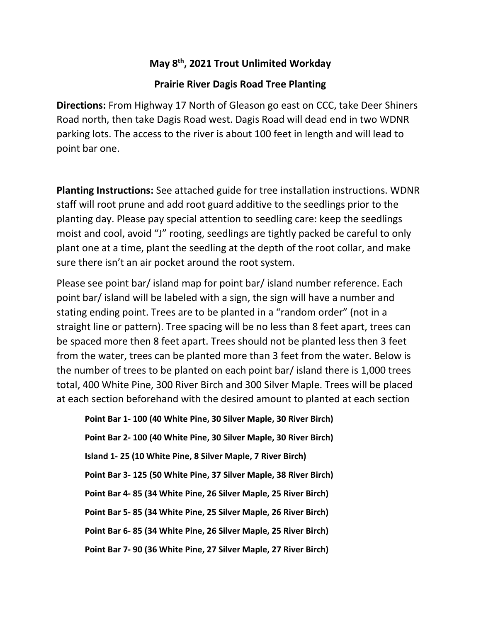## May 8th, 2021 Trout Unlimited Workday

## Prairie River Dagis Road Tree Planting

Directions: From Highway 17 North of Gleason go east on CCC, take Deer Shiners Road north, then take Dagis Road west. Dagis Road will dead end in two WDNR parking lots. The access to the river is about 100 feet in length and will lead to point bar one.

Planting Instructions: See attached guide for tree installation instructions. WDNR staff will root prune and add root guard additive to the seedlings prior to the planting day. Please pay special attention to seedling care: keep the seedlings moist and cool, avoid "J" rooting, seedlings are tightly packed be careful to only plant one at a time, plant the seedling at the depth of the root collar, and make sure there isn't an air pocket around the root system.

Please see point bar/ island map for point bar/ island number reference. Each point bar/ island will be labeled with a sign, the sign will have a number and stating ending point. Trees are to be planted in a "random order" (not in a straight line or pattern). Tree spacing will be no less than 8 feet apart, trees can be spaced more then 8 feet apart. Trees should not be planted less then 3 feet from the water, trees can be planted more than 3 feet from the water. Below is the number of trees to be planted on each point bar/ island there is 1,000 trees total, 400 White Pine, 300 River Birch and 300 Silver Maple. Trees will be placed at each section beforehand with the desired amount to planted at each section

Point Bar 1- 100 (40 White Pine, 30 Silver Maple, 30 River Birch) Point Bar 2- 100 (40 White Pine, 30 Silver Maple, 30 River Birch) Island 1- 25 (10 White Pine, 8 Silver Maple, 7 River Birch) Point Bar 3- 125 (50 White Pine, 37 Silver Maple, 38 River Birch) Point Bar 4- 85 (34 White Pine, 26 Silver Maple, 25 River Birch) Point Bar 5- 85 (34 White Pine, 25 Silver Maple, 26 River Birch) Point Bar 6- 85 (34 White Pine, 26 Silver Maple, 25 River Birch) Point Bar 7- 90 (36 White Pine, 27 Silver Maple, 27 River Birch)